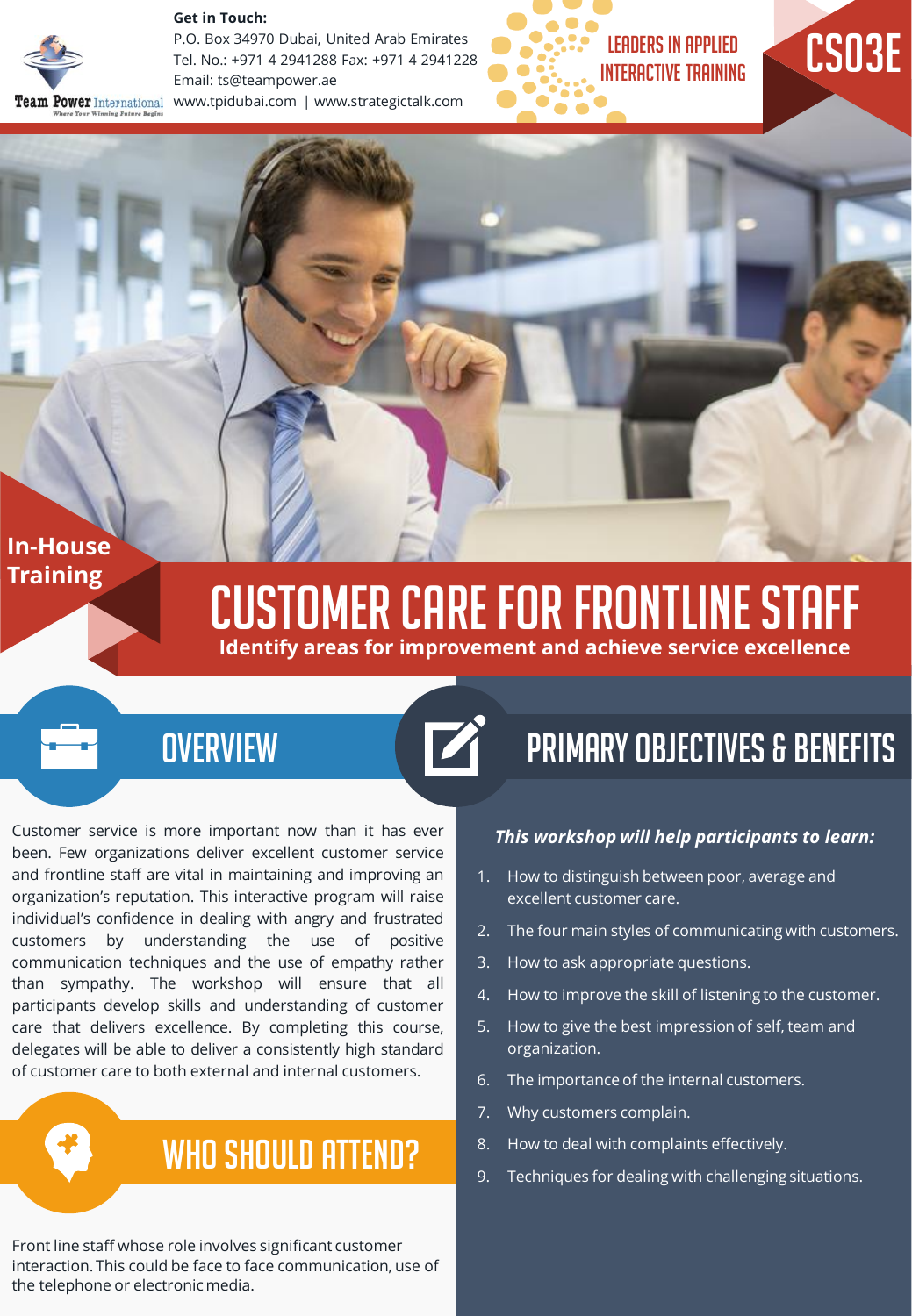#### **Get in Touch:**



P.O. Box 34970 Dubai, United Arab Emirates Tel. No.: +971 4 2941288 Fax: +971 4 2941228 Email: ts@teampower.ae eam Power International www.tpidubai.com | www.strategictalk.com





### **In-House Training**

# Customer Care For Frontline Staff

**Identify areas for improvement and achieve service excellence**



# **OVERVIEW**

Customer service is more important now than it has ever been. Few organizations deliver excellent customer service and frontline staff are vital in maintaining and improving an organization's reputation. This interactive program will raise individual's confidence in dealing with angry and frustrated customers by understanding the use of positive communication techniques and the use of empathy rather than sympathy. The workshop will ensure that all participants develop skills and understanding of customer care that delivers excellence. By completing this course, delegates will be able to deliver a consistently high standard of customer care to both external and internal customers.

# WHO SHOULD ATTEND?

Front line staff whose role involves significant customer interaction. This could be face to face communication, use of the telephone or electronic media.

#### *This workshop will help participants to learn:*

Primary Objectives & Benefits

- 1. How to distinguish between poor, average and excellent customer care.
- 2. The four main styles of communicating with customers.
- 3. How to ask appropriate questions.
- 4. How to improve the skill of listening to the customer.
- 5. How to give the best impression of self, team and organization.
- 6. The importance of the internal customers.
- 7. Why customers complain.
- 8. How to deal with complaints effectively.
- 9. Techniques for dealing with challenging situations.